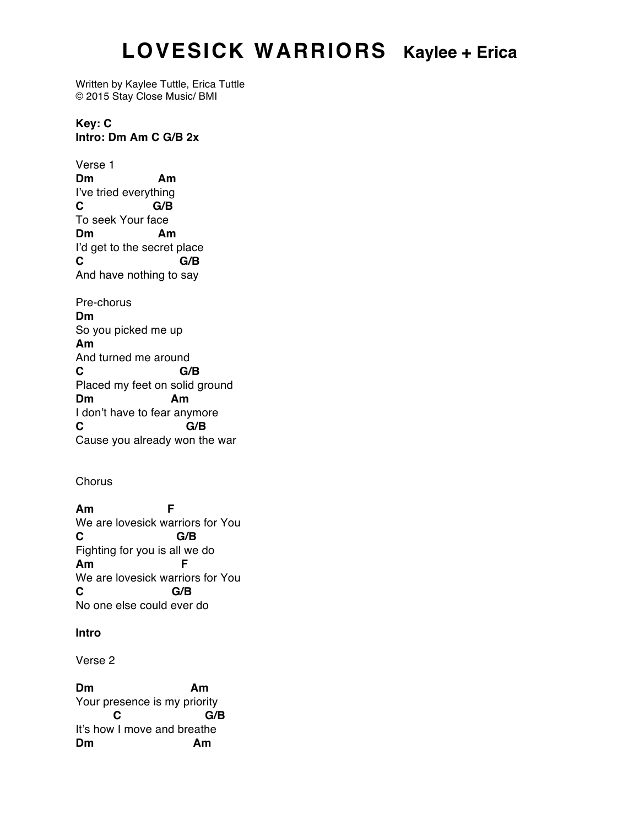## **LOVESICK WARRIORS Kaylee + Erica**

Written by Kaylee Tuttle, Erica Tuttle © 2015 Stay Close Music/ BMI

**Key: C Intro: Dm Am C G/B 2x**

Verse 1 **Dm Am** I've tried everything **C G/B** To seek Your face **Dm Am** I'd get to the secret place **C G/B** And have nothing to say Pre-chorus **Dm**  So you picked me up **Am** And turned me around **C G/B** Placed my feet on solid ground **Dm Am** I don't have to fear anymore **C G/B** Cause you already won the war

**Chorus** 

**Am F** We are lovesick warriors for You **C G/B** Fighting for you is all we do **Am F** We are lovesick warriors for You **C G/B** No one else could ever do

## **Intro**

Verse 2

**Dm Am** Your presence is my priority **C G/B** It's how I move and breathe **Dm Am**